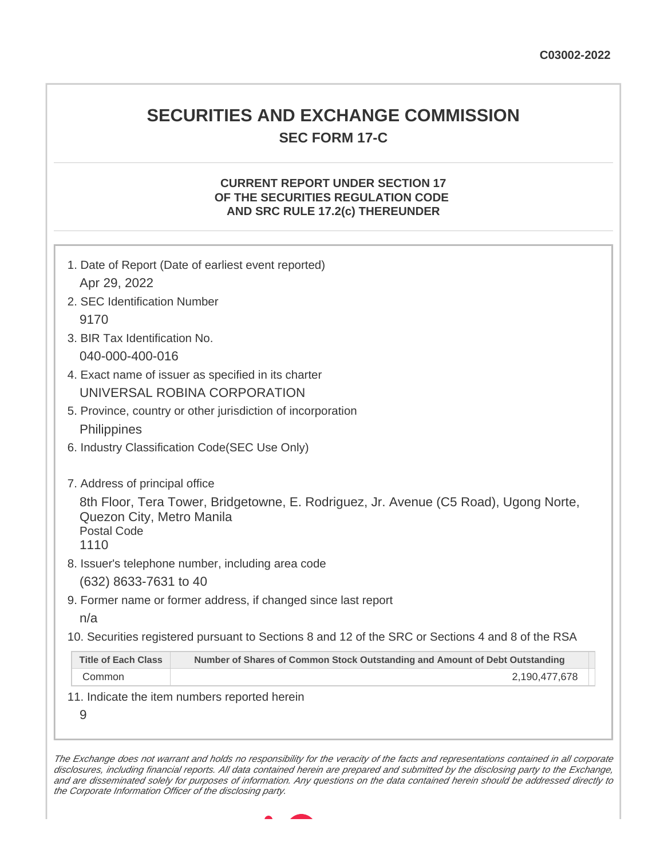## **SECURITIES AND EXCHANGE COMMISSION SEC FORM 17-C**

## **CURRENT REPORT UNDER SECTION 17 OF THE SECURITIES REGULATION CODE AND SRC RULE 17.2(c) THEREUNDER**

|                                                         | 1. Date of Report (Date of earliest event reported)                                               |
|---------------------------------------------------------|---------------------------------------------------------------------------------------------------|
| Apr 29, 2022                                            |                                                                                                   |
| 2. SEC Identification Number                            |                                                                                                   |
| 9170                                                    |                                                                                                   |
| 3. BIR Tax Identification No.                           |                                                                                                   |
| 040-000-400-016                                         |                                                                                                   |
|                                                         | 4. Exact name of issuer as specified in its charter                                               |
|                                                         | UNIVERSAL ROBINA CORPORATION                                                                      |
|                                                         | 5. Province, country or other jurisdiction of incorporation                                       |
| Philippines                                             |                                                                                                   |
|                                                         | 6. Industry Classification Code(SEC Use Only)                                                     |
| 7. Address of principal office                          |                                                                                                   |
| Quezon City, Metro Manila<br><b>Postal Code</b><br>1110 | 8th Floor, Tera Tower, Bridgetowne, E. Rodriguez, Jr. Avenue (C5 Road), Ugong Norte,              |
|                                                         | 8. Issuer's telephone number, including area code                                                 |
| (632) 8633-7631 to 40                                   |                                                                                                   |
|                                                         | 9. Former name or former address, if changed since last report                                    |
|                                                         |                                                                                                   |
| n/a                                                     |                                                                                                   |
|                                                         | 10. Securities registered pursuant to Sections 8 and 12 of the SRC or Sections 4 and 8 of the RSA |
| <b>Title of Each Class</b>                              | Number of Shares of Common Stock Outstanding and Amount of Debt Outstanding                       |

The Exchange does not warrant and holds no responsibility for the veracity of the facts and representations contained in all corporate disclosures, including financial reports. All data contained herein are prepared and submitted by the disclosing party to the Exchange, and are disseminated solely for purposes of information. Any questions on the data contained herein should be addressed directly to the Corporate Information Officer of the disclosing party.

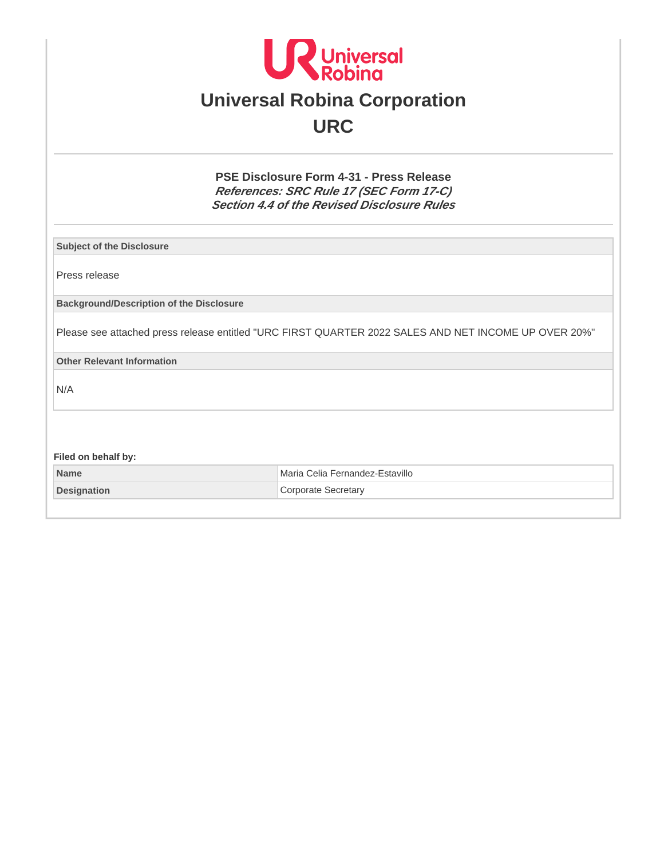

# **Universal Robina Corporation URC**

**PSE Disclosure Form 4-31 - Press Release References: SRC Rule 17 (SEC Form 17-C) Section 4.4 of the Revised Disclosure Rules**

**Subject of the Disclosure**

Press release

**Background/Description of the Disclosure**

Please see attached press release entitled "URC FIRST QUARTER 2022 SALES AND NET INCOME UP OVER 20%"

**Other Relevant Information**

N/A

**Filed on behalf by: Name** Maria Celia Fernandez-Estavillo **Designation** Corporate Secretary